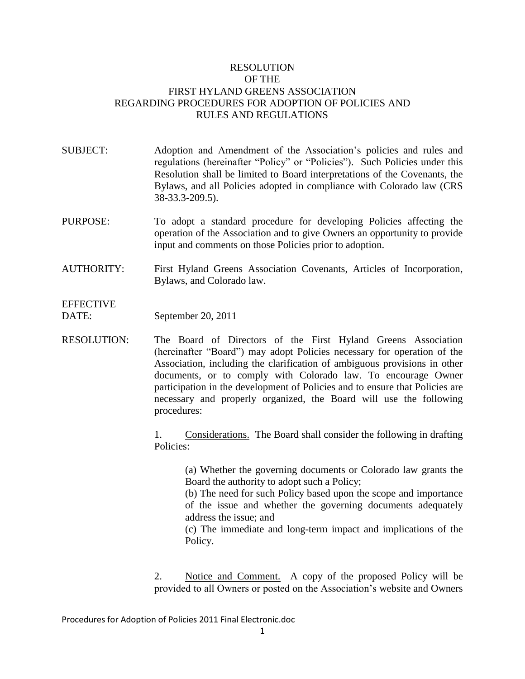## RESOLUTION OF THE FIRST HYLAND GREENS ASSOCIATION REGARDING PROCEDURES FOR ADOPTION OF POLICIES AND RULES AND REGULATIONS

SUBJECT: Adoption and Amendment of the Association's policies and rules and regulations (hereinafter "Policy" or "Policies"). Such Policies under this Resolution shall be limited to Board interpretations of the Covenants, the Bylaws, and all Policies adopted in compliance with Colorado law (CRS 38-33.3-209.5).

- PURPOSE: To adopt a standard procedure for developing Policies affecting the operation of the Association and to give Owners an opportunity to provide input and comments on those Policies prior to adoption.
- AUTHORITY: First Hyland Greens Association Covenants, Articles of Incorporation, Bylaws, and Colorado law.

**EFFECTIVE** 

DATE: September 20, 2011

RESOLUTION: The Board of Directors of the First Hyland Greens Association (hereinafter "Board") may adopt Policies necessary for operation of the Association, including the clarification of ambiguous provisions in other documents, or to comply with Colorado law. To encourage Owner participation in the development of Policies and to ensure that Policies are necessary and properly organized, the Board will use the following procedures:

> 1. Considerations. The Board shall consider the following in drafting Policies:

(a) Whether the governing documents or Colorado law grants the Board the authority to adopt such a Policy;

(b) The need for such Policy based upon the scope and importance of the issue and whether the governing documents adequately address the issue; and

(c) The immediate and long-term impact and implications of the Policy.

2. Notice and Comment. A copy of the proposed Policy will be provided to all Owners or posted on the Association's website and Owners